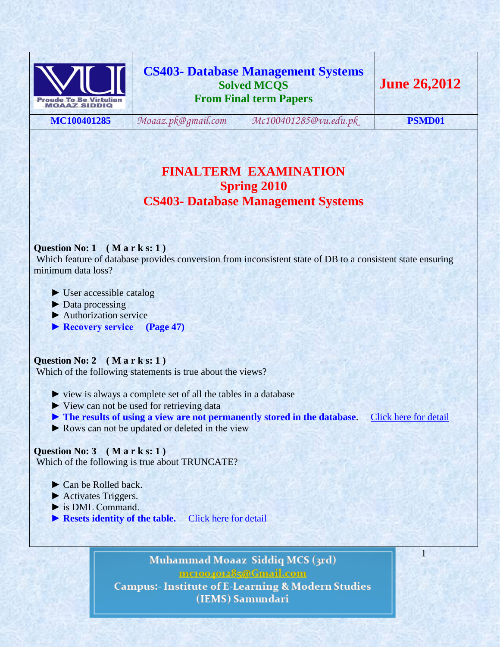

**CS403- Database Management Systems Solved MCQS From Final term Papers**

**MC100401285** *[Moaaz.pk@gmail.com](mailto:Moaaz.pk@gmail.com) [Mc100401285@vu.edu.pk](mailto:Mc100401285@vu.edu.pk)* **PSMD01**

1

# **FINALTERM EXAMINATION Spring 2010 CS403- Database Management Systems**

# **Question No: 1 ( M a r k s: 1 )**

Which feature of database provides conversion from inconsistent state of DB to a consistent state ensuring minimum data loss?

- ► User accessible catalog
- ► Data processing
- ► Authorization service
- ▶ Recovery service (Page 47)

#### **Question No: 2 ( M a r k s: 1 )**

Which of the following statements is true about the views?

- ► view is always a complete set of all the tables in a database
- ► View can not be used for retrieving data
- **► The results of using a view are not permanently stored in the database**. [Click here for detail](http://code4asp.net/main/?p=9)
- ► Rows can not be updated or deleted in the view

### **Question No: 3 ( M a r k s: 1 )**

Which of the following is true about TRUNCATE?

- ► Can be Rolled back.
- ► Activates Triggers.
- ► is DML Command.
- ▶ **Resets identity of the table.** [Click here for detail](http://blog.sqlauthority.com/2007/04/17/sql-server-interview-questions-part-3/)

Muhammad Moaaz Siddiq MCS (3rd) mctoo4ot285@Gmail.com **Campus:- Institute of E-Learning & Modern Studies** (IEMS) Samundari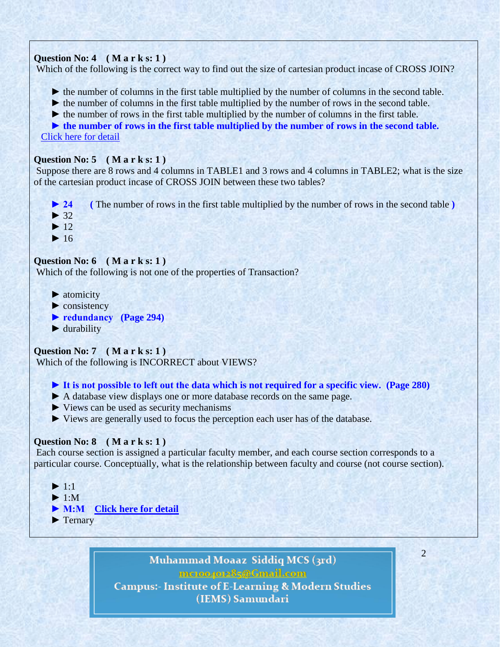# **Question No: 4 ( M a r k s: 1 )**

Which of the following is the correct way to find out the size of cartesian product incase of CROSS JOIN?

- ► the number of columns in the first table multiplied by the number of columns in the second table.
- ► the number of columns in the first table multiplied by the number of rows in the second table.
- ► the number of rows in the first table multiplied by the number of columns in the first table.

► the number of rows in the first table multiplied by the number of rows in the second table. [Click](http://www.w3resource.com/sql/joins/cross-join.php) here for detail

# **Question No: 5 ( M a r k s: 1 )**

Suppose there are 8 rows and 4 columns in TABLE1 and 3 rows and 4 columns in TABLE2; what is the size of the cartesian product incase of CROSS JOIN between these two tables?

- ► 24 (The number of rows in the first table multiplied by the number of rows in the second table **)**
- $\blacktriangleright$  32
- $\blacktriangleright$  12
- $\blacktriangleright$  16

# **Question No: 6 ( M a r k s: 1 )**

Which of the following is not one of the properties of Transaction?

- $\blacktriangleright$  atomicity
- $\blacktriangleright$  consistency
- 
- $\blacktriangleright$  durability

# **Question No: 7 ( M a r k s: 1 )**

Which of the following is INCORRECT about VIEWS?

# **► It is not possible to left out the data which is not required for a specific view. (Page 280)**

- ► A database view displays one or more database records on the same page.
- ► Views can be used as security mechanisms
- ► Views are generally used to focus the perception each user has of the database.

# **Question No: 8 ( M a r k s: 1 )**

Each course section is assigned a particular faculty member, and each course section corresponds to a particular course. Conceptually, what is the relationship between faculty and course (not course section).

- $\blacktriangleright$  1:1
- $\blacktriangleright$  1:M
- ▶ **M:M** [Click here for detail](http://odin.lcb.uoregon.edu/pangburn/dbms/Test1samples_a.pdf)
- ► Ternary

Muhammad Moaaz Siddiq MCS (3rd) mctoo4ot285@Gmail.com **Campus:- Institute of E-Learning & Modern Studies** (IEMS) Samundari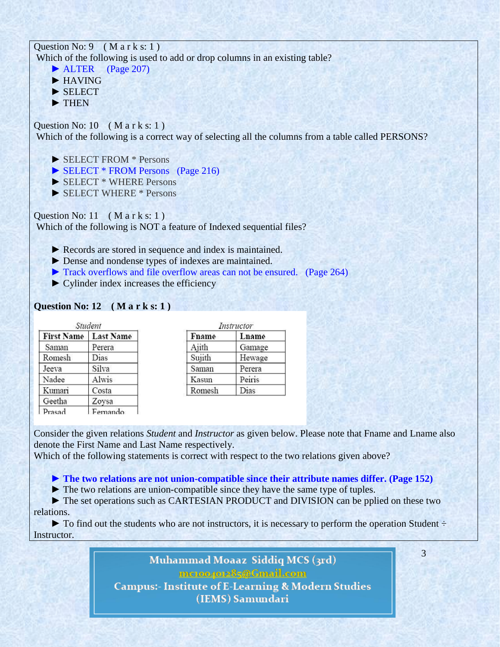# Question No:  $9 \left( \text{M} \text{ a r k s: } 1 \right)$ Which of the following is used to add or drop columns in an existing table?

- ► ALTER (Page 207) ► HAVING
- ► SELECT
- ► THEN

Question No:  $10$  (Mark s: 1) Which of the following is a correct way of selecting all the columns from a table called PERSONS?

- ► SELECT FROM \* Persons
- ► SELECT \* FROM Persons (Page 216)
- ► SELECT \* WHERE Persons
- ► SELECT WHERE \* Persons

Question No: 11  $(M \text{ a r k s: 1})$ Which of the following is NOT a feature of Indexed sequential files?

- ► Records are stored in sequence and index is maintained.
- ► Dense and nondense types of indexes are maintained.
- ► Track overflows and file overflow areas can not be ensured. (Page 264)
- $\triangleright$  Cylinder index increases the efficiency

# **Question No: 12 ( M a r k s: 1 )**

| Student           |                  |  |
|-------------------|------------------|--|
| <b>First Name</b> | <b>Last Name</b> |  |
| Saman             | Perera           |  |
| Romesh            | Dias             |  |
| Jeeva             | Silva            |  |
| Nadee             | Alwis            |  |
| Kumari            | Costa            |  |
| Geetha            | Zoysa            |  |
| Prasad            | Femando          |  |

| Instructor |        |  |
|------------|--------|--|
| Fname      | Lname  |  |
| Ajith      | Gamage |  |
| Sujith     | Hewage |  |
| Saman      | Perera |  |
| Kasun      | Peiris |  |
| Romesh     | Dias   |  |

Consider the given relations *Student* and *Instructor* as given below. Please note that Fname and Lname also denote the First Name and Last Name respectively.

Which of the following statements is correct with respect to the two relations given above?

 **► The two relations are not union-compatible since their attribute names differ. (Page 152)**

► The two relations are union-compatible since they have the same type of tuples.

 ► The set operations such as CARTESIAN PRODUCT and DIVISION can be pplied on these two relations.

 $\blacktriangleright$  To find out the students who are not instructors, it is necessary to perform the operation Student  $\div$ Instructor.

> Muhammad Moaaz Siddiq MCS (3rd) mctoo4ot285@Gmail.com **Campus:- Institute of E-Learning & Modern Studies** (IEMS) Samundari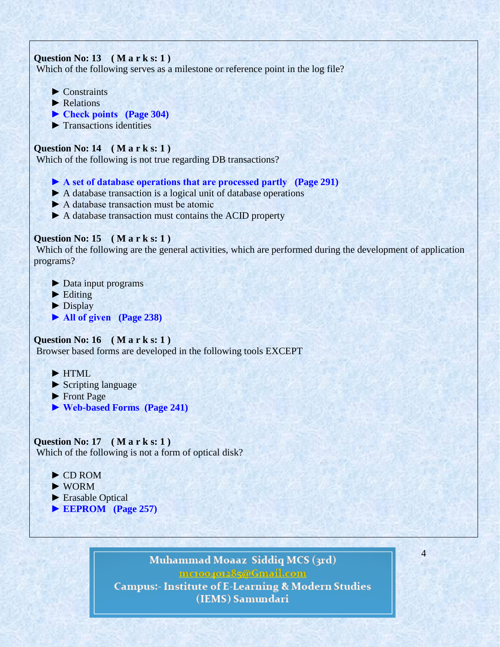# **Question No: 13 ( M a r k s: 1 )**

Which of the following serves as a milestone or reference point in the log file?

- $\blacktriangleright$  Constraints
- ▶ Relations
- **► Check points (Page 304)**
- $\blacktriangleright$  Transactions identities

# **Question No: 14 ( M a r k s: 1 )**

Which of the following is not true regarding DB transactions?

- **► A set of database operations that are processed partly (Page 291)**
- ► A database transaction is a logical unit of database operations
- ► A database transaction must be atomic
- ► A database transaction must contains the ACID property

# **Question No: 15 ( M a r k s: 1 )**

Which of the following are the general activities, which are performed during the development of application programs?

- ► Data input programs
- $\blacktriangleright$  Editing
- ► Display
- **► All of given (Page 238)**

# **Question No: 16 ( M a r k s: 1 )**

Browser based forms are developed in the following tools EXCEPT

- ► HTML
- ► Scripting language
- ► Front Page
- **► Web-based Forms (Page 241)**

# **Question No: 17 ( M a r k s: 1 )**

Which of the following is not a form of optical disk?

- ► CD ROM
- ► WORM
- ► Erasable Optical
- **► EEPROM (Page 257)**

# Muhammad Moaaz Siddiq MCS (3rd)

mctoo4ot285@Gmail.com

4

**Campus:- Institute of E-Learning & Modern Studies** (IEMS) Samundari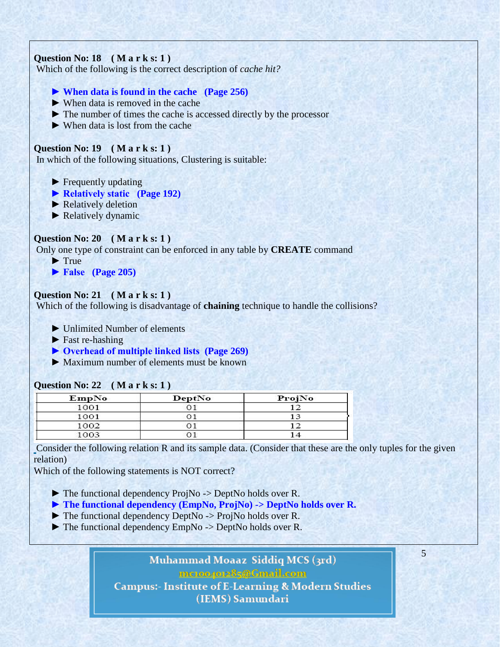# **Question No: 18 ( M a r k s: 1 )**

Which of the following is the correct description of *cache hit?*

# **► When data is found in the cache (Page 256)**

- $\blacktriangleright$  When data is removed in the cache
- ► The number of times the cache is accessed directly by the processor
- ► When data is lost from the cache

# **Question No: 19 ( M a r k s: 1 )**

In which of the following situations, Clustering is suitable:

- ► Frequently updating
- **► Relatively static (Page 192)**
- ► Relatively deletion
- ► Relatively dynamic

# **Question No: 20 ( M a r k s: 1 )**

Only one type of constraint can be enforced in any table by **CREATE** command

- ► True
- **► False (Page 205)**

#### **Question No: 21 ( M a r k s: 1 )**

Which of the following is disadvantage of **chaining** technique to handle the collisions?

- ► Unlimited Number of elements
- ► Fast re-hashing
- **► Overhead of multiple linked lists (Page 269)**
- $\blacktriangleright$  Maximum number of elements must be known

|       | __________ |        |
|-------|------------|--------|
| EmpNo | DeptNo     | ProjNo |
| 1001  |            |        |
| 1001  |            |        |
| 1002  |            |        |
| 1003  |            |        |

#### **Question No: 22 ( M a r k s: 1 )**

Consider the following relation R and its sample data. (Consider that these are the only tuples for the given relation)

Which of the following statements is NOT correct?

► The functional dependency ProjNo -> DeptNo holds over R.

- **► The functional dependency (EmpNo, ProjNo) -> DeptNo holds over R.**
- ► The functional dependency DeptNo -> ProjNo holds over R.
- ► The functional dependency EmpNo -> DeptNo holds over R.

Muhammad Moaaz Siddiq MCS (3rd) mctoo4ot285@Gmail.com **Campus:- Institute of E-Learning & Modern Studies** (IEMS) Samundari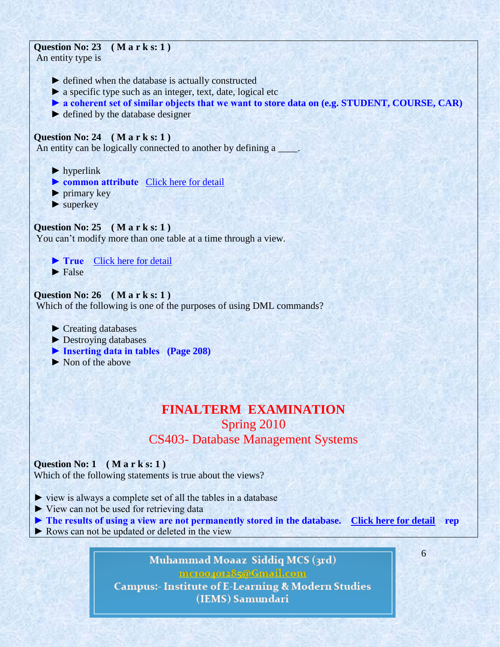# **Question No: 23 ( M a r k s: 1 )**

An entity type is

- ► defined when the database is actually constructed
- ► a specific type such as an integer, text, date, logical etc
- ► a coherent set of similar objects that we want to store data on (e.g. STUDENT, COURSE, CAR)
- ► defined by the database designer

# **Question No: 24 ( M a r k s: 1 )**

An entity can be logically connected to another by defining a  $\Box$ 

- $\blacktriangleright$  hyperlink
- ▶ **common attribute** [Click here for detail](http://opencourseware.kfupm.edu.sa/colleges/cim/acctmis/mis311/files/5-Quizzes_MIS_311_Quiz3.pdf)
- $\blacktriangleright$  primary key
- ▶ superkey

# **Question No: 25 ( M a r k s: 1 )**

You can't modify more than one table at a time through a view.

▶ True [Click here for detail](http://blog.sqlauthority.com/2007/04/28/sql-server-restrictions-of-views-t-sql-view-limitations/)  $\blacktriangleright$  False

# **Question No: 26 ( M a r k s: 1 )**

Which of the following is one of the purposes of using DML commands?

- ► Creating databases
- ► Destroying databases
- **► Inserting data in tables (Page 208)**
- ► Non of the above

# **FINALTERM EXAMINATION** Spring 2010 CS403- Database Management Systems

# **Question No: 1 ( M a r k s: 1 )**

Which of the following statements is true about the views?

- ► view is always a complete set of all the tables in a database
- ► View can not be used for retrieving data
- **► The results of using a view are not permanently stored in the database. [Click here for detail](http://code4asp.net/main/?p=9) rep**

6

► Rows can not be updated or deleted in the view

Muhammad Moaaz Siddiq MCS (3rd) mctoo4ot285@Gmail.com **Campus:- Institute of E-Learning & Modern Studies** (IEMS) Samundari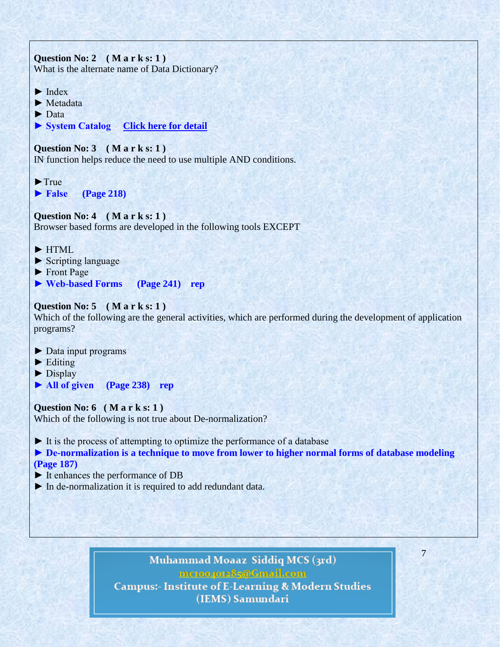**Question No: 2 ( M a r k s: 1 )**  What is the alternate name of Data Dictionary?  $\blacktriangleright$  Index ► Metadata ► Data **► System Catalog [Click here for detail](http://www.blurtit.com/q6281869.html) Question No: 3 ( M a r k s: 1 )**  IN function helps reduce the need to use multiple AND conditions.  $\blacktriangleright$ True ▶ False (Page 218) **Question No: 4 ( M a r k s: 1 )**  Browser based forms are developed in the following tools EXCEPT

- ► HTML
- ► Scripting language
- ► Front Page
- **► Web-based Forms (Page 241) rep**

# **Question No: 5 ( M a r k s: 1 )**

Which of the following are the general activities, which are performed during the development of application programs?

- ► Data input programs
- $\blacktriangleright$  Editing
- ► Display
- **► All of given (Page 238) rep**

#### **Question No: 6 ( M a r k s: 1 )**

Which of the following is not true about De-normalization?

► It is the process of attempting to optimize the performance of a database

**► De-normalization is a technique to move from lower to higher normal forms of database modeling (Page 187)**

- ► It enhances the performance of DB
- ► In de-normalization it is required to add redundant data.

# Muhammad Moaaz Siddiq MCS (3rd) mctoo4ot285@Gmail.com

7

**Campus:- Institute of E-Learning & Modern Studies** (IEMS) Samundari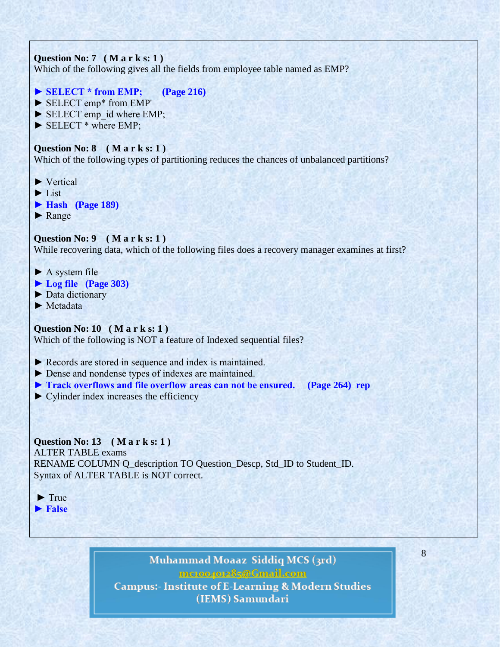# **Question No: 7 ( M a r k s: 1 )**

Which of the following gives all the fields from employee table named as EMP?

- **► SELECT \* from EMP; (Page 216)**
- ► SELECT emp\* from EMP'
- ► SELECT emp\_id where EMP;
- ► SELECT \* where EMP;

# **Question No: 8 ( M a r k s: 1 )**

Which of the following types of partitioning reduces the chances of unbalanced partitions?

- ► Vertical
- ► List
- **► Hash (Page 189)**
- ► Range

# **Question No: 9 ( M a r k s: 1 )**

While recovering data, which of the following files does a recovery manager examines at first?

- $\blacktriangleright$  A system file
- **► Log file (Page 303)**
- ► Data dictionary
- ► Metadata

# **Question No: 10 ( M a r k s: 1 )**

Which of the following is NOT a feature of Indexed sequential files?

► Records are stored in sequence and index is maintained.

- ► Dense and nondense types of indexes are maintained.
- **► Track overflows and file overflow areas can not be ensured. (Page 264) rep**
- $\triangleright$  Cylinder index increases the efficiency

# **Question No: 13 ( M a r k s: 1 )**

ALTER TABLE exams RENAME COLUMN Q\_description TO Question\_Descp, Std\_ID to Student\_ID. Syntax of ALTER TABLE is NOT correct.

► True **► False**

> Muhammad Moaaz Siddiq MCS (3rd) mctoo4ot285@Gmail.com **Campus:- Institute of E-Learning & Modern Studies** (IEMS) Samundari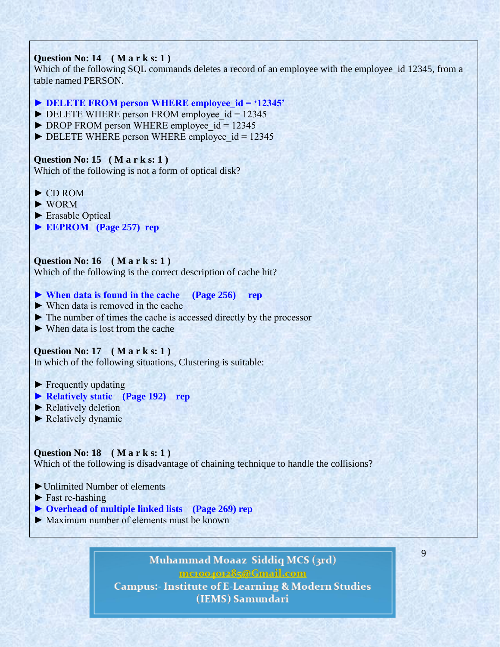# **Question No: 14 ( M a r k s: 1 )**

Which of the following SQL commands deletes a record of an employee with the employee id 12345, from a table named PERSON.

# ► DELETE FROM person WHERE employee id = '12345'

- $\triangleright$  DELETE WHERE person FROM employee  $id = 12345$
- $\triangleright$  DROP FROM person WHERE employee id = 12345
- $\triangleright$  DELETE WHERE person WHERE employee  $id = 12345$

# **Question No: 15 ( M a r k s: 1 )**

Which of the following is not a form of optical disk?

- ► CD ROM
- ► WORM
- ► Erasable Optical
- **► EEPROM (Page 257) rep**

# **Question No: 16 ( M a r k s: 1 )**

Which of the following is the correct description of cache hit?

**► When data is found in the cache (Page 256) rep**

- ► When data is removed in the cache
- ► The number of times the cache is accessed directly by the processor
- ► When data is lost from the cache

#### **Question No: 17 ( M a r k s: 1 )**

In which of the following situations, Clustering is suitable:

- ► Frequently updating
- **► Relatively static (Page 192) rep**
- ► Relatively deletion
- ► Relatively dynamic

#### **Question No: 18 ( M a r k s: 1 )**

Which of the following is disadvantage of chaining technique to handle the collisions?

- ►Unlimited Number of elements
- ► Fast re-hashing
- **► Overhead of multiple linked lists (Page 269) rep**
- $\blacktriangleright$  Maximum number of elements must be known

# Muhammad Moaaz Siddiq MCS (3rd) mctoo4ot285@Gmail.com **Campus:- Institute of E-Learning & Modern Studies** (IEMS) Samundari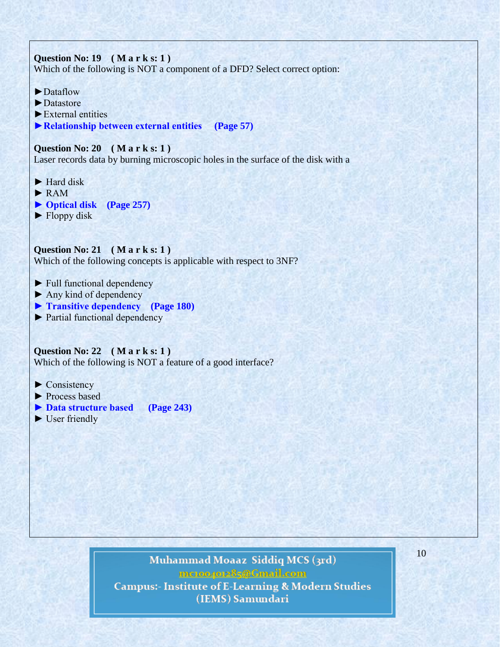# **Question No: 19 ( M a r k s: 1 )**  Which of the following is NOT a component of a DFD? Select correct option:

- ►Dataflow
- ►Datastore
- ►External entities
- **►Relationship between external entities (Page 57)**

### **Question No: 20 ( M a r k s: 1 )**

Laser records data by burning microscopic holes in the surface of the disk with a

- ► Hard disk
- ► RAM
- **► Optical disk (Page 257)**
- ► Floppy disk

**Question No: 21 ( M a r k s: 1 )**  Which of the following concepts is applicable with respect to 3NF?

- ► Full functional dependency
- $\blacktriangleright$  Any kind of dependency
- **► Transitive dependency (Page 180)**
- ► Partial functional dependency

**Question No: 22 ( M a r k s: 1 )**  Which of the following is NOT a feature of a good interface?

- ► Consistency
- ► Process based
- **► Data structure based (Page 243)**
- ► User friendly

# Muhammad Moaaz Siddiq MCS (3rd) mctoo4ot285@Gmail.com **Campus:- Institute of E-Learning & Modern Studies** (IEMS) Samundari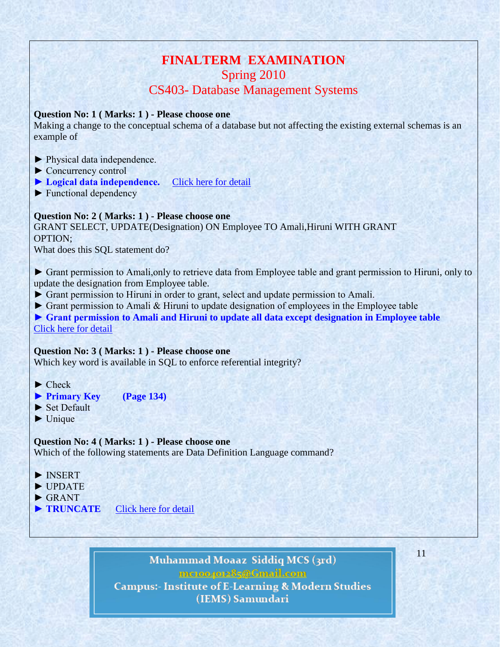# **FINALTERM EXAMINATION** Spring 2010

# CS403- Database Management Systems

# **Question No: 1 ( Marks: 1 ) - Please choose one**

Making a change to the conceptual schema of a database but not affecting the existing external schemas is an example of

- ► Physical data independence.
- ► Concurrency control
- **► Logical data independence.** [Click here for detail](http://en.wikipedia.org/wiki/Data_independence)
- ► Functional dependency

# **Question No: 2 ( Marks: 1 ) - Please choose one**

GRANT SELECT, UPDATE(Designation) ON Employee TO Amali,Hiruni WITH GRANT OPTION;

What does this SQL statement do?

► Grant permission to Amali,only to retrieve data from Employee table and grant permission to Hiruni, only to update the designation from Employee table.

- ► Grant permission to Hiruni in order to grant, select and update permission to Amali.
- ► Grant permission to Amali & Hiruni to update designation of employees in the Employee table

**► Grant permission to Amali and Hiruni to update all data except designation in Employee table** [Click here for detail](http://www.scribd.com/doc/39094379/RDBMS-Mock-Test-complete)

# **Question No: 3 ( Marks: 1 ) - Please choose one**

Which key word is available in SQL to enforce referential integrity?

► Check

- **► Primary Key (Page 134)**
- ► Set Default
- $\blacktriangleright$  Unique

# **Question No: 4 ( Marks: 1 ) - Please choose one**

Which of the following statements are Data Definition Language command?

- ► INSERT
- ► UPDATE
- $\blacktriangleright$  GRANT
- **► TRUNCATE** [Click here for detail](http://w3.miraclesoft.com/msws/msoft/faqs/pdfs/PL_SQL.pdf)

Muhammad Moaaz Siddiq MCS (3rd) mcroopor25@Gmail.com **Campus:- Institute of E-Learning & Modern Studies** (IEMS) Samundari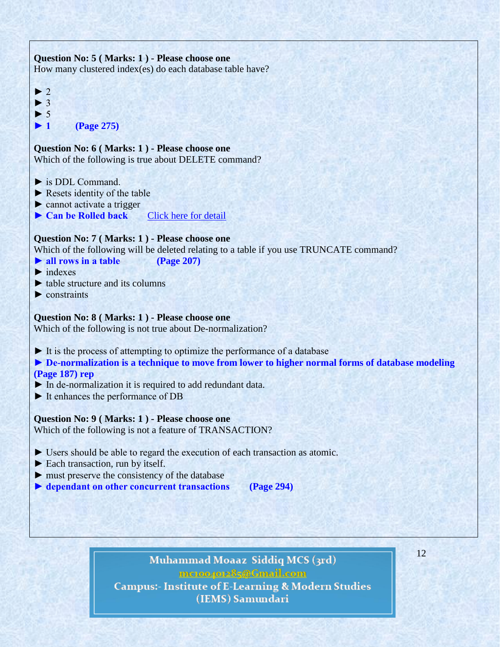# **Question No: 5 ( Marks: 1 ) - Please choose one** How many clustered index(es) do each database table have?  $\blacktriangleright$  2  $\blacktriangleright$  3  $\blacktriangleright$  5 **► 1 (Page 275) Question No: 6 ( Marks: 1 ) - Please choose one** Which of the following is true about DELETE command?  $\blacktriangleright$  is DDL Command.  $\blacktriangleright$  Resets identity of the table ► cannot activate a trigger ► Can be Rolled back [Click here for detail](http://blog.sqlauthority.com/2007/04/17/sql-server-interview-questions-part-3/) **Question No: 7 ( Marks: 1 ) - Please choose one** Which of the following will be deleted relating to a table if you use TRUNCATE command? **► all rows in a table (Page 207)**  $\blacktriangleright$  indexes  $\blacktriangleright$  table structure and its columns  $\blacktriangleright$  constraints **Question No: 8 ( Marks: 1 ) - Please choose one** Which of the following is not true about De-normalization? ► It is the process of attempting to optimize the performance of a database **► De-normalization is a technique to move from lower to higher normal forms of database modeling (Page 187) rep** ► In de-normalization it is required to add redundant data. ► It enhances the performance of DB **Question No: 9 ( Marks: 1 ) - Please choose one** Which of the following is not a feature of TRANSACTION? ► Users should be able to regard the execution of each transaction as atomic. ► Each transaction, run by itself. ► must preserve the consistency of the database ▶ <b>dependent on other concurrent transactions</b> <b>(Page 294)</b>

Muhammad Moaaz Siddiq MCS (3rd) mc.compress@Gmail.com **Campus:- Institute of E-Learning & Modern Studies** (IEMS) Samundari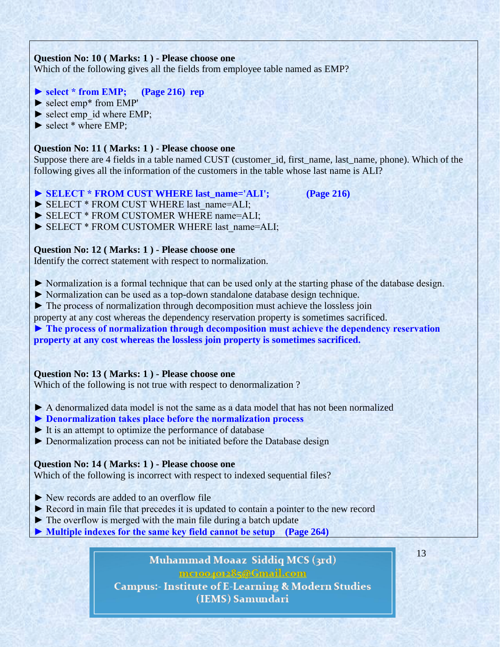# **Question No: 10 ( Marks: 1 ) - Please choose one**

Which of the following gives all the fields from employee table named as EMP?

# **► select \* from EMP; (Page 216) rep**

- ► select emp\* from EMP'
- $\blacktriangleright$  select emp\_id where EMP;
- ► select \* where EMP;

# **Question No: 11 ( Marks: 1 ) - Please choose one**

Suppose there are 4 fields in a table named CUST (customer\_id, first\_name, last\_name, phone). Which of the following gives all the information of the customers in the table whose last name is ALI?

- ► SELECT \* FROM CUST WHERE last name='ALI'; (Page 216)
- ▶ SELECT \* FROM CUST WHERE last\_name=ALI;
- ► SELECT \* FROM CUSTOMER WHERE name=ALI;
- ► SELECT \* FROM CUSTOMER WHERE last\_name=ALI;

#### **Question No: 12 ( Marks: 1 ) - Please choose one**

Identify the correct statement with respect to normalization.

- ► Normalization is a formal technique that can be used only at the starting phase of the database design.
- ► Normalization can be used as a top-down standalone database design technique.
- ► The process of normalization through decomposition must achieve the lossless join
- property at any cost whereas the dependency reservation property is sometimes sacrificed.
- **► The process of normalization through decomposition must achieve the dependency reservation property at any cost whereas the lossless join property is sometimes sacrificed.**

#### **Question No: 13 ( Marks: 1 ) - Please choose one**

Which of the following is not true with respect to denormalization ?

- ► A denormalized data model is not the same as a data model that has not been normalized
- **► Denormalization takes place before the normalization process**
- ► It is an attempt to optimize the performance of database
- ► Denormalization process can not be initiated before the Database design

#### **Question No: 14 ( Marks: 1 ) - Please choose one**

Which of the following is incorrect with respect to indexed sequential files?

- ► New records are added to an overflow file
- ► Record in main file that precedes it is updated to contain a pointer to the new record
- ► The overflow is merged with the main file during a batch update

**► Multiple indexes for the same key field cannot be setup (Page 264)**

Muhammad Moaaz Siddiq MCS (3rd) mctoo4ot285@Gmail.com **Campus:- Institute of E-Learning & Modern Studies** (IEMS) Samundari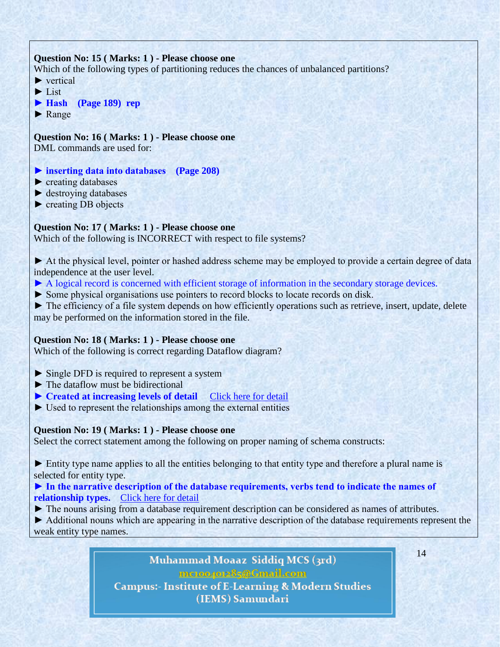# **Question No: 15 ( Marks: 1 ) - Please choose one**

Which of the following types of partitioning reduces the chances of unbalanced partitions?

- ► vertical
- ► List
- **► Hash (Page 189) rep**
- ► Range

# **Question No: 16 ( Marks: 1 ) - Please choose one**

DML commands are used for:

- **► inserting data into databases (Page 208)**
- ► creating databases
- ► destroying databases
- ► creating DB objects

# **Question No: 17 ( Marks: 1 ) - Please choose one**

Which of the following is INCORRECT with respect to file systems?

► At the physical level, pointer or hashed address scheme may be employed to provide a certain degree of data independence at the user level.

- ▶ A logical record is concerned with efficient storage of information in the secondary storage devices.
- ► Some physical organisations use pointers to record blocks to locate records on disk.

► The efficiency of a file system depends on how efficiently operations such as retrieve, insert, update, delete may be performed on the information stored in the file.

# **Question No: 18 ( Marks: 1 ) - Please choose one**

Which of the following is correct regarding Dataflow diagram?

- ► Single DFD is required to represent a system
- ► The dataflow must be bidirectional
- **► Created at increasing levels of detail** [Click here for detail](http://www.ehow.com/about_5095247_definition-data-flow-diagrams.html)
- $\triangleright$  Used to represent the relationships among the external entities

# **Question No: 19 ( Marks: 1 ) - Please choose one**

Select the correct statement among the following on proper naming of schema constructs:

► Entity type name applies to all the entities belonging to that entity type and therefore a plural name is selected for entity type.

# **► In the narrative description of the database requirements, verbs tend to indicate the names of** relationship types. [Click here for detail](http://www.docstoc.com/docs/79498818/rd-unit-2-_-3_doc-1_-%5b90%5d)

► The nouns arising from a database requirement description can be considered as names of attributes.

► Additional nouns which are appearing in the narrative description of the database requirements represent the weak entity type names.

> Muhammad Moaaz Siddiq MCS (3rd) mcroopor25@Gmail.com **Campus:- Institute of E-Learning & Modern Studies** (IEMS) Samundari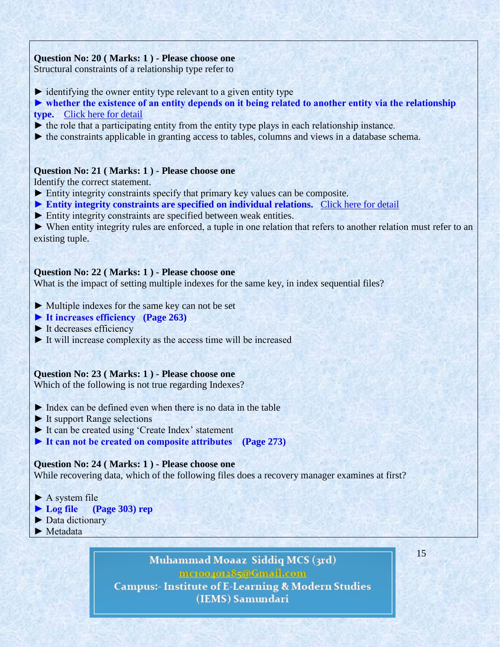# **Question No: 20 ( Marks: 1 ) - Please choose one**

Structural constraints of a relationship type refer to

- $\triangleright$  identifying the owner entity type relevant to a given entity type
- ► whether the existence of an entity depends on it being related to another entity via the relationship **type.** [Click here for detail](http://mytechnicalarticles.files.wordpress.com/2010/08/datamodeling-using-the-entity-realtionship-model.pdf)
- $\blacktriangleright$  the role that a participating entity from the entity type plays in each relationship instance.
- ► the constraints applicable in granting access to tables, columns and views in a database schema.

# **Question No: 21 ( Marks: 1 ) - Please choose one**

Identify the correct statement.

- ► Entity integrity constraints specify that primary key values can be composite.
- ► Entity integrity constraints are specified on individual relations. [Click here for detail](http://www.google.com.pk/url?sa=t&rct=j&q=&esrc=s&source=web&cd=2&ved=0CC4QFjAB&url=http://nlg.csie.ntu.edu.tw/courses/Database/slides/Dbase7.ppt&ei=3QqbT4fvJumI4gTpvvWpDg&usg=AFQjCNG1t25CUok0v0uoopGz3GdAJMOj1A&sig2=UIfETK3MdjqvhbH64TQ7-A)
- ► Entity integrity constraints are specified between weak entities.

► When entity integrity rules are enforced, a tuple in one relation that refers to another relation must refer to an existing tuple.

# **Question No: 22 ( Marks: 1 ) - Please choose one**

What is the impact of setting multiple indexes for the same key, in index sequential files?

- ► Multiple indexes for the same key can not be set
- **► It increases efficiency (Page 263)**
- $\blacktriangleright$  It decreases efficiency
- ► It will increase complexity as the access time will be increased

# **Question No: 23 ( Marks: 1 ) - Please choose one**

Which of the following is not true regarding Indexes?

- ► Index can be defined even when there is no data in the table
- ► It support Range selections
- ► It can be created using 'Create Index' statement
- **► It can not be created on composite attributes (Page 273)**

# **Question No: 24 ( Marks: 1 ) - Please choose one**

While recovering data, which of the following files does a recovery manager examines at first?

- $\blacktriangleright$  A system file
- **► Log file (Page 303) rep**
- ► Data dictionary
- ► Metadata

Muhammad Moaaz Siddiq MCS (3rd) mctoo4ot285@Gmail.com **Campus:- Institute of E-Learning & Modern Studies** (IEMS) Samundari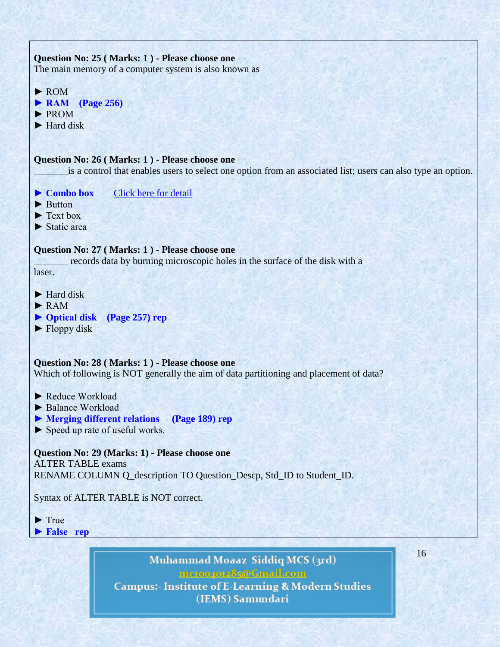| Question No: 25 (Marks: 1) - Please choose one<br>The main memory of a computer system is also known as                                                        |    |
|----------------------------------------------------------------------------------------------------------------------------------------------------------------|----|
| $\blacktriangleright$ ROM<br>$\blacktriangleright$ RAM<br>$\left( \text{Page } 256 \right)$<br>$\blacktriangleright$ PROM<br>$\blacktriangleright$ Hard disk   |    |
| Question No: 26 (Marks: 1) - Please choose one<br>is a control that enables users to select one option from an associated list; users can also type an option. |    |
| <b>Click here for detail</b><br>$\blacktriangleright$ Combo box<br>$\blacktriangleright$ Button<br>Text box<br>$\blacktriangleright$ Static area               |    |
| Question No: 27 (Marks: 1) - Please choose one<br>records data by burning microscopic holes in the surface of the disk with a<br>laser.                        |    |
| $\blacktriangleright$ Hard disk<br>$\blacktriangleright$ RAM<br>▶ Optical disk (Page 257) rep<br>$\blacktriangleright$ Floppy disk                             |    |
| Question No: 28 (Marks: 1) - Please choose one<br>Which of following is NOT generally the aim of data partitioning and placement of data?                      |    |
| Reduce Workload<br>Balance Workload<br>Merging different relations (Page 189) rep<br>Speed up rate of useful works.                                            |    |
| Question No: 29 (Marks: 1) - Please choose one<br><b>ALTER TABLE exams</b><br>RENAME COLUMN Q_description TO Question_Descp, Std_ID to Student_ID.             |    |
| Syntax of ALTER TABLE is NOT correct.                                                                                                                          |    |
| $\blacktriangleright$ True<br>False rep                                                                                                                        |    |
| Muhammad Moaaz Siddiq MCS (3rd)<br>me.compr.285@Gmail.com<br>$\leftrightarrow$ $\land$ F I assuming                                                            | 16 |

Campus:- Institute of E-Learning & Modern Studies<br>(IEMS) Samundari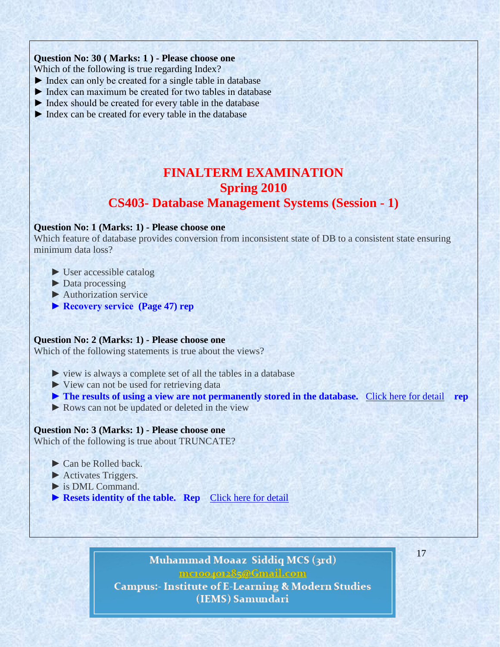# **Question No: 30 ( Marks: 1 ) - Please choose one**

Which of the following is true regarding Index?

- ► Index can only be created for a single table in database
- ► Index can maximum be created for two tables in database
- ► Index should be created for every table in the database
- ► Index can be created for every table in the database

# **FINALTERM EXAMINATION Spring 2010 CS403- Database Management Systems (Session - 1)**

# **Question No: 1 (Marks: 1) - Please choose one**

Which feature of database provides conversion from inconsistent state of DB to a consistent state ensuring minimum data loss?

- ► User accessible catalog
- ► Data processing
- ► Authorization service
- **► Recovery service (Page 47) rep**

#### **Question No: 2 (Marks: 1) - Please choose one**

Which of the following statements is true about the views?

- ► view is always a complete set of all the tables in a database
- ► View can not be used for retrieving data
- **► The results of using a view are not permanently stored in the database.** [Click here for detail](http://code4asp.net/main/?p=9) **rep**
- ► Rows can not be updated or deleted in the view

#### **Question No: 3 (Marks: 1) - Please choose one**

Which of the following is true about TRUNCATE?

- ► Can be Rolled back.
- ► Activates Triggers.
- ► is DML Command.
- ▶ **Resets identity of the table. Rep** [Click here for detail](http://blog.sqlauthority.com/2007/04/17/sql-server-interview-questions-part-3/)

# Muhammad Moaaz Siddiq MCS (3rd) mctoo4ot285@Gmail.com

**Campus:- Institute of E-Learning & Modern Studies** (IEMS) Samundari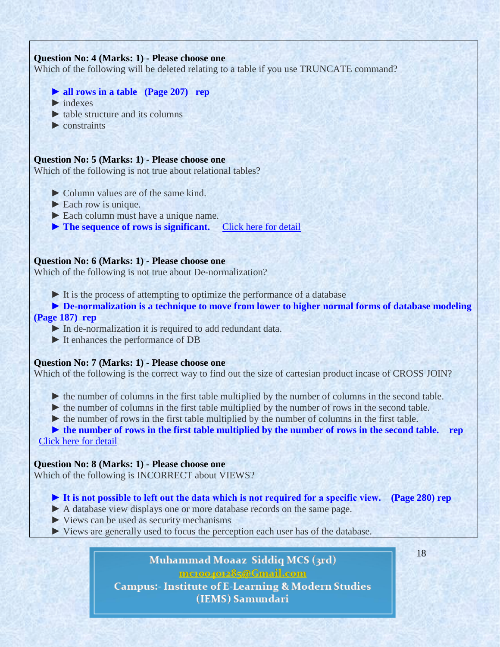# **Question No: 4 (Marks: 1) - Please choose one**

Which of the following will be deleted relating to a table if you use TRUNCATE command?

- **► all rows in a table (Page 207) rep**
- $\blacktriangleright$  indexes
- $\blacktriangleright$  table structure and its columns
- $\blacktriangleright$  constraints

#### **Question No: 5 (Marks: 1) - Please choose one**

Which of the following is not true about relational tables?

- ► Column values are of the same kind.
- $\blacktriangleright$  Each row is unique.
- ► Each column must have a unique name.
- **► The sequence of rows is significant.** [Click here for detail](http://faculty.kfupm.edu.sa/ics/jaweed/ICS014-041Web/Relational%20Model%20Overview.htm)

#### **Question No: 6 (Marks: 1) - Please choose one**

Which of the following is not true about De-normalization?

 $\triangleright$  It is the process of attempting to optimize the performance of a database

 **► De-normalization is a technique to move from lower to higher normal forms of database modeling (Page 187) rep**

- ► In de-normalization it is required to add redundant data.
- ► It enhances the performance of DB

#### **Question No: 7 (Marks: 1) - Please choose one**

Which of the following is the correct way to find out the size of cartesian product incase of CROSS JOIN?

- ► the number of columns in the first table multiplied by the number of columns in the second table.
- ► the number of columns in the first table multiplied by the number of rows in the second table.
- ► the number of rows in the first table multiplied by the number of columns in the first table.

► **the number of rows in the first table multiplied by the number of rows in the second table. rep** 

[Click](http://www.w3resource.com/sql/joins/cross-join.php) here for detail

#### **Question No: 8 (Marks: 1) - Please choose one**

Which of the following is INCORRECT about VIEWS?

- **► It is not possible to left out the data which is not required for a specific view. (Page 280) rep**
- ► A database view displays one or more database records on the same page.
- ► Views can be used as security mechanisms
- ► Views are generally used to focus the perception each user has of the database.

Muhammad Moaaz Siddiq MCS (3rd) mctoo4ot285@Gmail.com **Campus:- Institute of E-Learning & Modern Studies** (IEMS) Samundari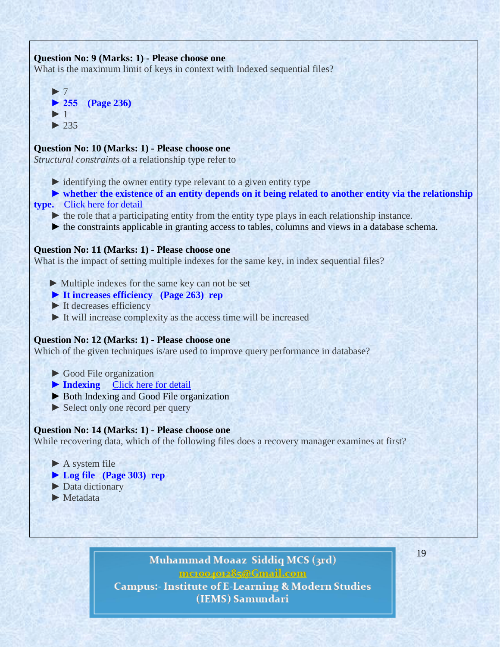# **Question No: 9 (Marks: 1) - Please choose one**

What is the maximum limit of keys in context with Indexed sequential files?



# **Question No: 10 (Marks: 1) - Please choose one**

*Structural constraints* of a relationship type refer to

- $\triangleright$  identifying the owner entity type relevant to a given entity type
- $\triangleright$  whether the existence of an entity depends on it being related to another entity via the relationship
- **type.** Click here for [detail](http://mytechnicalarticles.files.wordpress.com/2010/08/datamodeling-using-the-entity-realtionship-model.pdf)
	- ► the role that a participating entity from the entity type plays in each relationship instance.
	- ► the constraints applicable in granting access to tables, columns and views in a database schema.

# **Question No: 11 (Marks: 1) - Please choose one**

What is the impact of setting multiple indexes for the same key, in index sequential files?

- ► Multiple indexes for the same key can not be set
- **► It increases efficiency (Page 263) rep**
- ► It decreases efficiency
- ► It will increase complexity as the access time will be increased

#### **Question No: 12 (Marks: 1) - Please choose one**

Which of the given techniques is/are used to improve query performance in database?

- ► Good File organization
- **► Indexing** [Click](http://publib.boulder.ibm.com/infocenter/rfidhelp/v1r1/index.jsp?topic=/com.ibm.rfid.help.doc/t_improving_oracle_query_perf.html) here for detail
- ► Both Indexing and Good File organization
- ► Select only one record per query

# **Question No: 14 (Marks: 1) - Please choose one**

While recovering data, which of the following files does a recovery manager examines at first?

- $\blacktriangleright$  A system file
- **► Log file (Page 303) rep**
- ► Data dictionary
- ► Metadata

# Muhammad Moaaz Siddiq MCS (3rd) mctoo4ot285@Gmail.com

**Campus:- Institute of E-Learning & Modern Studies** (IEMS) Samundari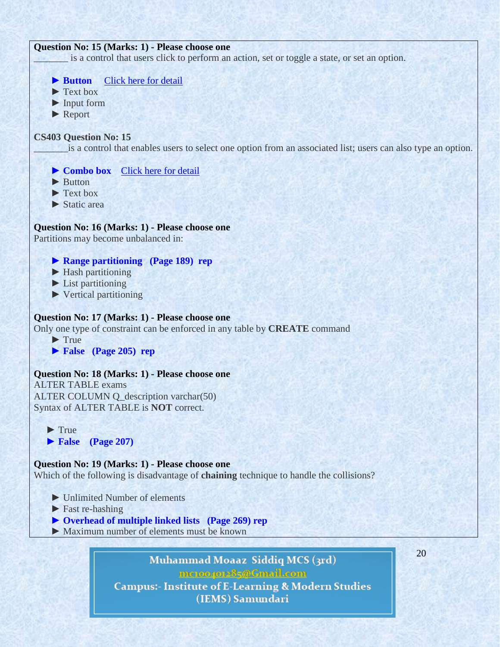### **Question No: 15 (Marks: 1) - Please choose one**

is a control that users click to perform an action, set or toggle a state, or set an option.



- **► Overhead of multiple linked lists (Page 269) rep**
- ► Maximum number of elements must be known

Muhammad Moaaz Siddiq MCS (3rd) mctoo4ot285@Gmail.com **Campus:- Institute of E-Learning & Modern Studies** (IEMS) Samundari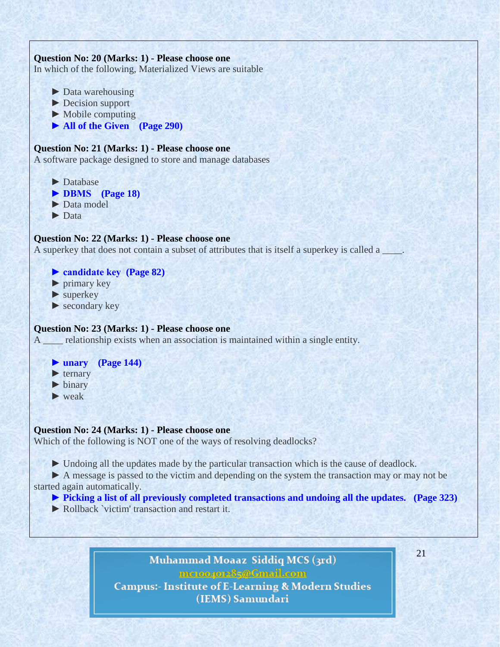

# Muhammad Moaaz Siddiq MCS (3rd) mctoo4ot285@Gmail.com **Campus:- Institute of E-Learning & Modern Studies** (IEMS) Samundari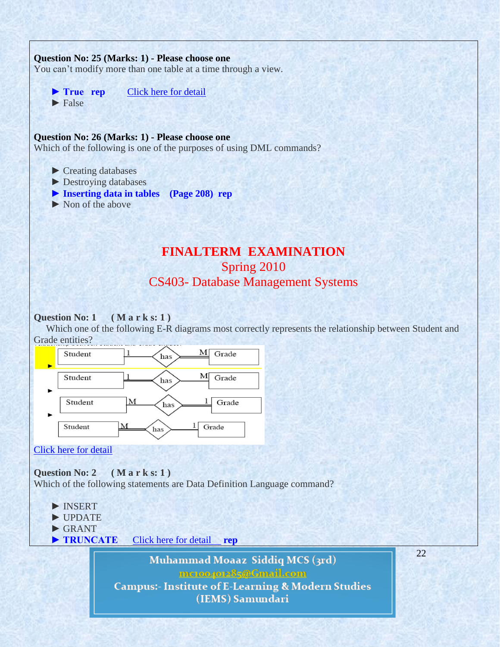# **Question No: 25 (Marks: 1) - Please choose one**

You can't modify more than one table at a time through a view.

▶ True rep [Click here for detail](http://blog.sqlauthority.com/2007/04/28/sql-server-restrictions-of-views-t-sql-view-limitations/)  $\blacktriangleright$  False

#### **Question No: 26 (Marks: 1) - Please choose one**

Which of the following is one of the purposes of using DML commands?

- ► Creating databases
- ► Destroying databases
- **► Inserting data in tables (Page 208) rep**
- ► Non of the above

# **FINALTERM EXAMINATION** Spring 2010 CS403- Database Management Systems

#### **Question No: 1 ( M a r k s: 1 )**

 Which one of the following E-R diagrams most correctly represents the relationship between Student and Grade entities?



### Click here for [detail](http://odin.lcb.uoregon.edu/pangburn/dbms/Test1samples_a.pdf)

**Question No: 2 ( M a r k s: 1 )** 

Which of the following statements are Data Definition Language command?

- ► INSERT
- **►** UPDATE
- **►** GRANT
- **► TRUNCATE** [Click here for detail](http://w3.miraclesoft.com/msws/msoft/faqs/pdfs/PL_SQL.pdf) **rep**

Muhammad Moaaz Siddiq MCS (3rd) mctoo4ot285@Gmail.com **Campus:- Institute of E-Learning & Modern Studies** (IEMS) Samundari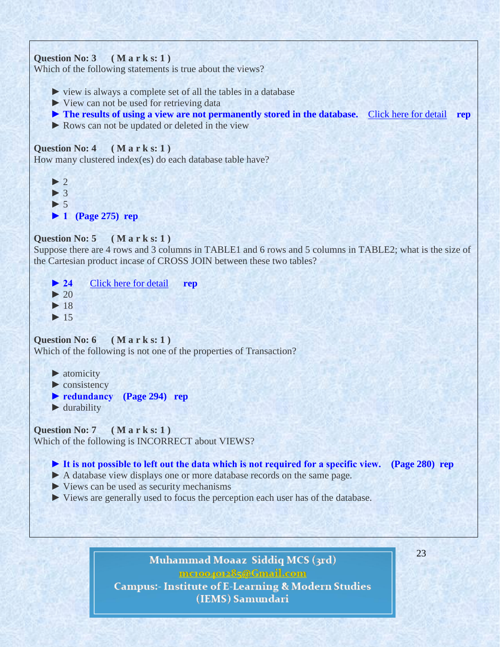```
Question No: 3 ( M a r k s: 1 ) 
Which of the following statements is true about the views?
     ► view is always a complete set of all the tables in a database 
     ► View can not be used for retrieving data
     ► The results of using a view are not permanently stored in the database. Click here for detail rep
     ► Rows can not be updated or deleted in the view
Question No: 4 ( M a r k s: 1 ) 
How many clustered index(es) do each database table have?
     ► 2
     ► 3
     ► 5
     ► 1 (Page 275) rep
Question No: 5 ( M a r k s: 1 ) 
Suppose there are 4 rows and 3 columns in TABLE1 and 6 rows and 5 columns in TABLE2; what is the size of
the Cartesian product incase of CROSS JOIN between these two tables?
    ► 24Click here for detail rep
    \blacktriangleright 20
     ► 18
     ► 15
Question No: 6 ( M a r k s: 1 ) 
Which of the following is not one of the properties of Transaction?
    ► atomicity
    ▶ consistency
     ► redundancy (Page 294) rep
     ► durability
Question No: 7 ( M a r k s: 1 )
```
Which of the following is INCORRECT about VIEWS?

# **► It is not possible to left out the data which is not required for a specific view. (Page 280) rep**

- **►** A database view displays one or more database records on the same page.
- **►** Views can be used as security mechanisms
- **►** Views are generally used to focus the perception each user has of the database.

# Muhammad Moaaz Siddiq MCS (3rd) mctoo4ot285@Gmail.com **Campus:- Institute of E-Learning & Modern Studies** (IEMS) Samundari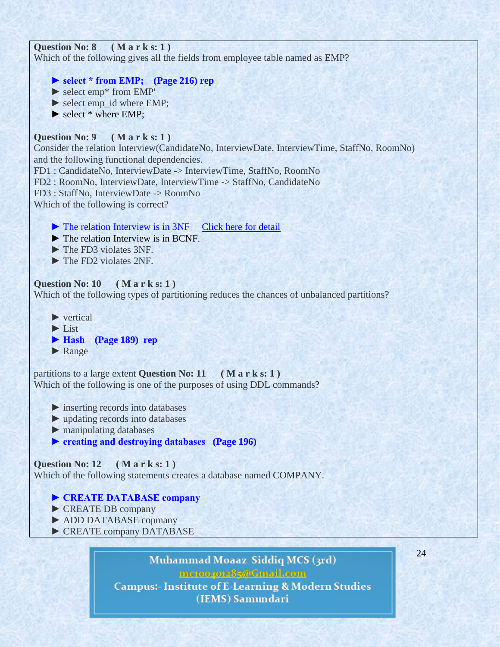



 **►** Range

partitions to a large extent **Question No: 11 ( M a r k s: 1 )**  Which of the following is one of the purposes of using DDL commands?

- **►** inserting records into databases
- **►** updating records into databases
- **►** manipulating databases
- **► creating and destroying databases (Page 196)**

# **Question No: 12 ( M a r k s: 1 )**

Which of the following statements creates a database named COMPANY.

- **► CREATE DATABASE company**
- **►** CREATE DB company
- **►** ADD DATABASE copmany
- **►** CREATE company DATABASE

Muhammad Moaaz Siddiq MCS (3rd) mctoo4ot285@Gmail.com **Campus:- Institute of E-Learning & Modern Studies** 

(IEMS) Samundari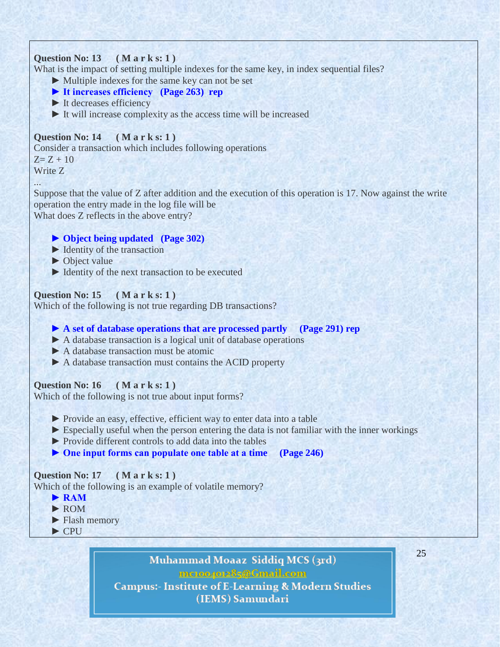# **Question No: 13 ( M a r k s: 1 )**

What is the impact of setting multiple indexes for the same key, in index sequential files?

- ► Multiple indexes for the same key can not be set
- **► It increases efficiency (Page 263) rep**
- **►** It decreases efficiency
- **►** It will increase complexity as the access time will be increased

# **Question No: 14 ( M a r k s: 1 )**

Consider a transaction which includes following operations  $Z = Z + 10$ Write Z

...

Suppose that the value of Z after addition and the execution of this operation is 17. Now against the write operation the entry made in the log file will be What does Z reflects in the above entry?

# **► Object being updated (Page 302)**

- **►** Identity of the transaction
- ▶ Object value
- ► Identity of the next transaction to be executed

# **Question No: 15 ( M a r k s: 1 )**

Which of the following is not true regarding DB transactions?

# **► A set of database operations that are processed partly (Page 291) rep**

- ► A database transaction is a logical unit of database operations
- **►** A database transaction must be atomic
- **►** A database transaction must contains the ACID property

# **Question No: 16 ( M a r k s: 1 )**

Which of the following is not true about input forms?

- **►** Provide an easy, effective, efficient way to enter data into a table
- **►** Especially useful when the person entering the data is not familiar with the inner workings
- **►** Provide different controls to add data into the tables
- **► One input forms can populate one table at a time (Page 246)**

# **Question No: 17 ( M a r k s: 1 )**

Which of the following is an example of volatile memory?

- **► RAM**
- **►** ROM
- ▶ Flash memory
- **►** CPU

Muhammad Moaaz Siddiq MCS (3rd) mctoo4ot285@Gmail.com **Campus:- Institute of E-Learning & Modern Studies** (IEMS) Samundari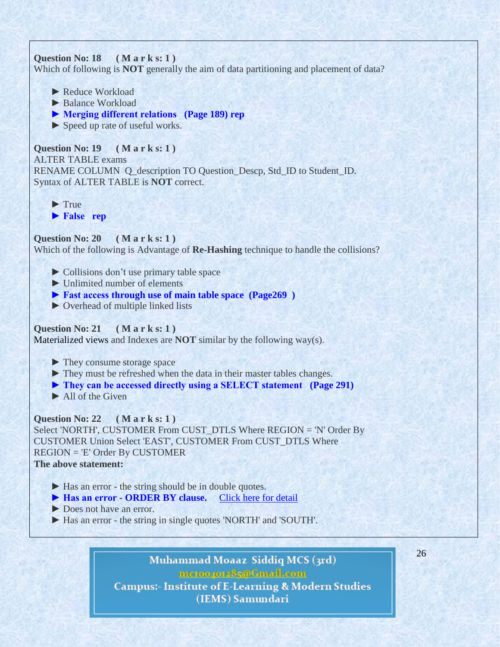# **Question No: 18 ( M a r k s: 1 )**

Which of following is **NOT** generally the aim of data partitioning and placement of data?

- **►** Reduce Workload
- **►** Balance Workload
- **► Merging different relations (Page 189) rep**
- **►** Speed up rate of useful works.

# **Question No: 19 ( M a r k s: 1 )**  ALTER TABLE exams RENAME COLUMN Q\_description TO Question\_Descp, Std\_ID to Student\_ID. Syntax of ALTER TABLE is **NOT** correct.

 **►** True

 **► False rep**

# **Question No: 20 ( M a r k s: 1 )**  Which of the following is Advantage of **Re-Hashing** technique to handle the collisions?

- **►** Collisions don't use primary table space
- **►** Unlimited number of elements
- **► Fast access through use of main table space (Page269 )**
- **►** Overhead of multiple linked lists

# **Question No: 21 ( M a r k s: 1 )**

Materialized views and Indexes are **NOT** similar by the following way(s).

- **►** They consume storage space
- **►** They must be refreshed when the data in their master tables changes.
- **► They can be accessed directly using a SELECT statement (Page 291)**
- **►** All of the Given

# **Question No: 22 ( M a r k s: 1 )**  Select 'NORTH', CUSTOMER From CUST\_DTLS Where REGION = 'N' Order By CUSTOMER Union Select 'EAST', CUSTOMER From CUST\_DTLS Where REGION = 'E' Order By CUSTOMER

# **The above statement:**

- ► Has an error the string should be in double quotes.
- ▶ Has an error **ORDER BY clause.** [Click here for detail](http://sql-plsql-manual.blogspot.com/2012/01/viva-voice-questions-and-answers.html)
- **►** Does not have an error.
- **►** Has an error the string in single quotes 'NORTH' and 'SOUTH'.

# Muhammad Moaaz Siddiq MCS (3rd) mctoo4ot285@Gmail.com **Campus:- Institute of E-Learning & Modern Studies** (IEMS) Samundari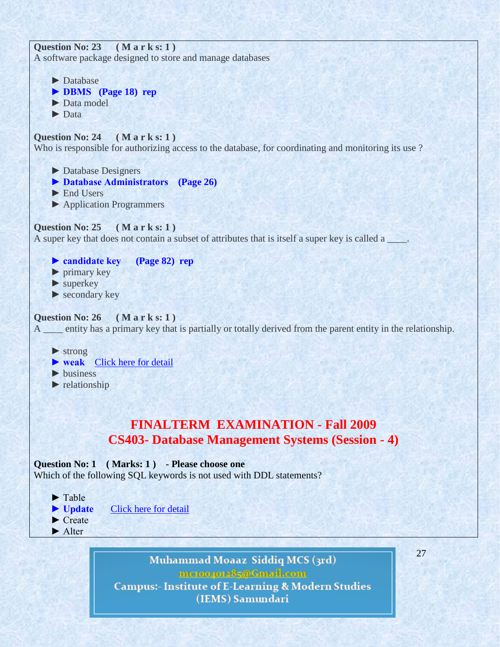**Question No: 23 ( M a r k s: 1 )**  A software package designed to store and manage databases

- ▶ Database  **► DBMS (Page 18) rep ►** Data model  **►** Data **Question No: 24 ( M a r k s: 1 )**  Who is responsible for authorizing access to the database, for coordinating and monitoring its use ?  **►** Database Designers  **► Database Administrators (Page 26)**  ▶ End Users  **►** Application Programmers **Question No: 25 ( M a r k s: 1 )**  A super key that does not contain a subset of attributes that is itself a super key is called a  **► candidate key (Page 82) rep ►** primary key
	- ▶ superkey
	- ▶ secondary key

# **Question No: 26 ( M a r k s: 1 )**

A \_\_\_\_ entity has a primary key that is partially or totally derived from the parent entity in the relationship.

 **►** strong

- ► weak [Click here for detail](http://books.google.com.pk/books?id=gCzfjlWOVAAC&pg=PA116&lpg=PA116&dq=entity+has+a+primary+key+that+is+partially+or+totally+derived+from+the+parent+entity+in+the+relationship&source=bl&ots=Bz0MDV3qLC&sig=Rc2P0u9lxtkX9B5w2SNdzHOWA7U&hl=en&sa=X&ei=CkCuT-jo)
- **►** business
- **►** relationship

# **FINALTERM EXAMINATION - Fall 2009 CS403- Database Management Systems (Session - 4)**

# **Question No: 1 ( Marks: 1 ) - Please choose one** Which of the following SQL keywords is not used with DDL statements?

- ► Table
- ► Update [Click here for detail](http://www.w3schools.com/sql/sql_syntax.asp)
- ► Create ► Alter
- Muhammad Moaaz Siddiq MCS (3rd) mctoo4ot285@Gmail.com **Campus:- Institute of E-Learning & Modern Studies** (IEMS) Samundari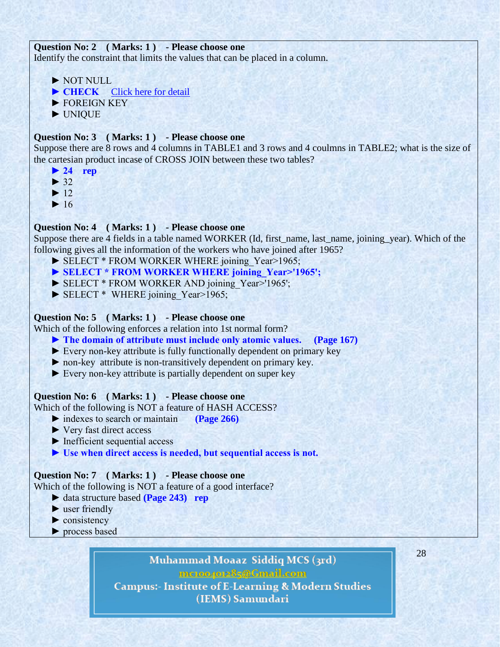# **Question No: 2 ( Marks: 1 ) - Please choose one**

Identify the constraint that limits the values that can be placed in a column.

- ► NOT NULL
- ▶ CHECK [Click here for detail](http://www.w3schools.com/sql/sql_check.asp)
- ► FOREIGN KEY
- ► UNIQUE

# **Question No: 3 ( Marks: 1 ) - Please choose one**

Suppose there are 8 rows and 4 columns in TABLE1 and 3 rows and 4 coulmns in TABLE2; what is the size of the cartesian product incase of CROSS JOIN between these two tables?

- **► 24 rep**
- $\blacktriangleright$  32
- $\blacktriangleright$  12
- $\blacktriangleright$  16

# **Question No: 4 ( Marks: 1 ) - Please choose one**

Suppose there are 4 fields in a table named WORKER (Id, first\_name, last\_name, joining\_year). Which of the following gives all the information of the workers who have joined after 1965?

- ► SELECT \* FROM WORKER WHERE joining Year>1965;
- ▶ SELECT \* FROM WORKER WHERE joining Year>'1965';
- ► SELECT \* FROM WORKER AND joining Year>'1965';
- ► SELECT \* WHERE joining Year>1965;

# **Question No: 5 ( Marks: 1 ) - Please choose one**

Which of the following enforces a relation into 1st normal form?

- **► The domain of attribute must include only atomic values. (Page 167)**
- ► Every non-key attribute is fully functionally dependent on primary key
- ► non-key attribute is non-transitively dependent on primary key.
- ► Every non-key attribute is partially dependent on super key

# **Question No: 6 ( Marks: 1 ) - Please choose one**

Which of the following is NOT a feature of HASH ACCESS?

- ► indexes to search or maintain **(Page 266)**
- ► Very fast direct access
- ► Inefficient sequential access
- **► Use when direct access is needed, but sequential access is not.**

# **Question No: 7 ( Marks: 1 ) - Please choose one**

Which of the following is NOT a feature of a good interface?

- ► data structure based **(Page 243) rep**
- $\blacktriangleright$  user friendly
- ► consistency
- ► process based

# Muhammad Moaaz Siddiq MCS (3rd) mctoo4ot285@Gmail.com

**Campus:- Institute of E-Learning & Modern Studies** (IEMS) Samundari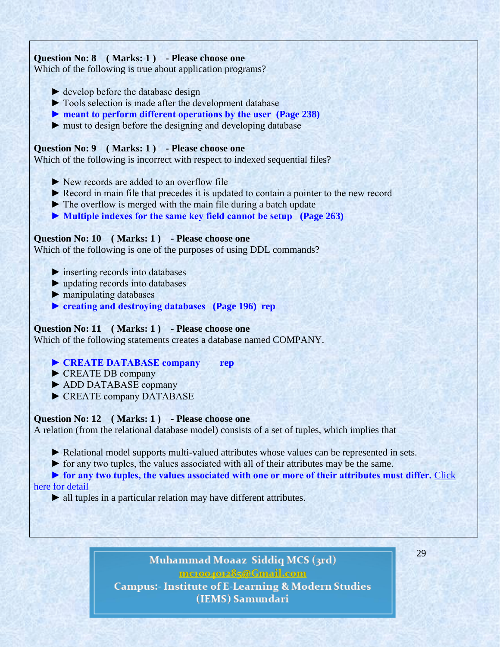# **Question No: 8 ( Marks: 1 ) - Please choose one**

Which of the following is true about application programs?

- $\blacktriangleright$  develop before the database design
- ► Tools selection is made after the development database
- **► meant to perform different operations by the user (Page 238)**
- $\blacktriangleright$  must to design before the designing and developing database

# **Question No: 9 ( Marks: 1 ) - Please choose one**

Which of the following is incorrect with respect to indexed sequential files?

- ► New records are added to an overflow file
- ► Record in main file that precedes it is updated to contain a pointer to the new record
- ► The overflow is merged with the main file during a batch update
- **► Multiple indexes for the same key field cannot be setup (Page 263)**

# **Question No: 10 ( Marks: 1 ) - Please choose one**

Which of the following is one of the purposes of using DDL commands?

- ► inserting records into databases
- ► updating records into databases
- ► manipulating databases
- **► creating and destroying databases (Page 196) rep**

# **Question No: 11 ( Marks: 1 ) - Please choose one**

Which of the following statements creates a database named COMPANY.

# **► CREATE DATABASE company rep**

- ► CREATE DB company
- ► ADD DATABASE copmany
- ► CREATE company DATABASE

# **Question No: 12 ( Marks: 1 ) - Please choose one**

A relation (from the relational database model) consists of a set of tuples, which implies that

► Relational model supports multi-valued attributes whose values can be represented in sets.

► for any two tuples, the values associated with all of their attributes may be the same.

► for any two tuples, the values associated with one or more of their attributes must differ. Click [here for detail](http://www.docstoc.com/docs/79498815/rd-unit-2-_-3-_doc-2_-%5b82%5d)

► all tuples in a particular relation may have different attributes.

# Muhammad Moaaz Siddiq MCS (3rd) mctoo4ot285@Gmail.com **Campus:- Institute of E-Learning & Modern Studies**

(IEMS) Samundari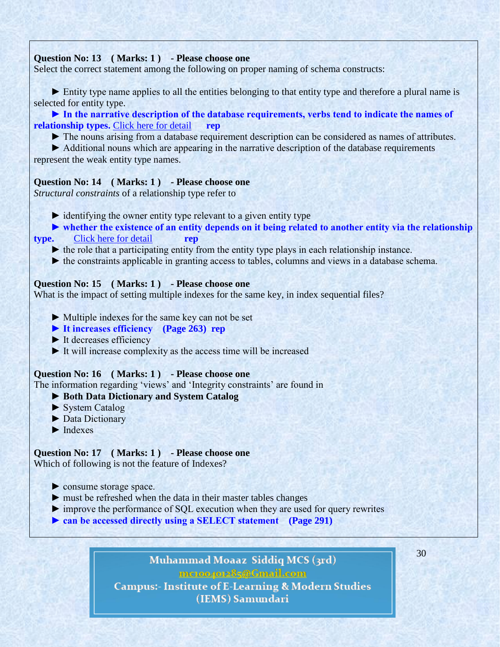# **Question No: 13 ( Marks: 1 ) - Please choose one**

Select the correct statement among the following on proper naming of schema constructs:

 ► Entity type name applies to all the entities belonging to that entity type and therefore a plural name is selected for entity type.

► In the narrative description of the database requirements, verbs tend to indicate the names of **relationship types.** [Click here for detail](http://www.docstoc.com/docs/79498818/rd-unit-2-_-3_doc-1_-%5b90%5d) **rep**

► The nouns arising from a database requirement description can be considered as names of attributes.

 ► Additional nouns which are appearing in the narrative description of the database requirements represent the weak entity type names.

### **Question No: 14 ( Marks: 1 ) - Please choose one**

*Structural constraints* of a relationship type refer to

 $\triangleright$  identifying the owner entity type relevant to a given entity type

► whether the existence of an entity depends on it being related to another entity via the relationship

# **type.** [Click here for detail](http://mytechnicalarticles.files.wordpress.com/2010/08/datamodeling-using-the-entity-realtionship-model.pdf) **rep**

► the role that a participating entity from the entity type plays in each relationship instance.

► the constraints applicable in granting access to tables, columns and views in a database schema.

# **Question No: 15 ( Marks: 1 ) - Please choose one**

What is the impact of setting multiple indexes for the same key, in index sequential files?

- ► Multiple indexes for the same key can not be set
- **► It increases efficiency (Page 263) rep**
- ► It decreases efficiency
- $\triangleright$  It will increase complexity as the access time will be increased

#### **Question No: 16 ( Marks: 1 ) - Please choose one**

The information regarding 'views' and 'Integrity constraints' are found in

- **► Both Data Dictionary and System Catalog**
- ► System Catalog
- ► Data Dictionary
- $\blacktriangleright$  Indexes

#### **Question No: 17 ( Marks: 1 ) - Please choose one**

Which of following is not the feature of Indexes?

- ► consume storage space.
- ► must be refreshed when the data in their master tables changes
- ► improve the performance of SQL execution when they are used for query rewrites
- **► can be accessed directly using a SELECT statement (Page 291)**

# Muhammad Moaaz Siddiq MCS (3rd) metoopote85@Cmail.com **Campus:- Institute of E-Learning & Modern Studies** (IEMS) Samundari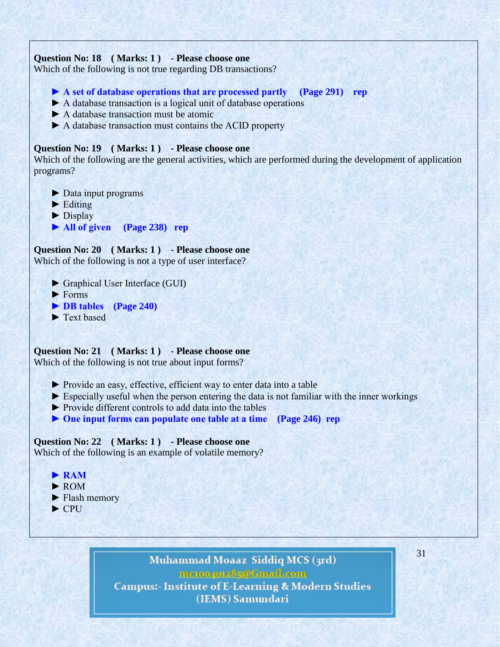# **Question No: 18 ( Marks: 1 ) - Please choose one**

Which of the following is not true regarding DB transactions?

 **► A set of database operations that are processed partly (Page 291) rep**

- ► A database transaction is a logical unit of database operations
- ► A database transaction must be atomic
- ► A database transaction must contains the ACID property

# **Question No: 19 ( Marks: 1 ) - Please choose one**

Which of the following are the general activities, which are performed during the development of application programs?

- ► Data input programs
- $\blacktriangleright$  Editing
- ► Display
- **► All of given (Page 238) rep**

**Question No: 20 ( Marks: 1 ) - Please choose one** Which of the following is not a type of user interface?

- ► Graphical User Interface (GUI)
- $\blacktriangleright$  Forms
- **► DB tables (Page 240)**
- ► Text based

# **Question No: 21 ( Marks: 1 ) - Please choose one**

Which of the following is not true about input forms?

- ► Provide an easy, effective, efficient way to enter data into a table
- $\triangleright$  Especially useful when the person entering the data is not familiar with the inner workings
- ► Provide different controls to add data into the tables
- **► One input forms can populate one table at a time (Page 246) rep**

# **Question No: 22 ( Marks: 1 ) - Please choose one**

Which of the following is an example of volatile memory?

- **► RAM**
- ► ROM
- ► Flash memory
- ► CPU

# Muhammad Moaaz Siddiq MCS (3rd) mctoo4ot285@Gmail.com **Campus:- Institute of E-Learning & Modern Studies** (IEMS) Samundari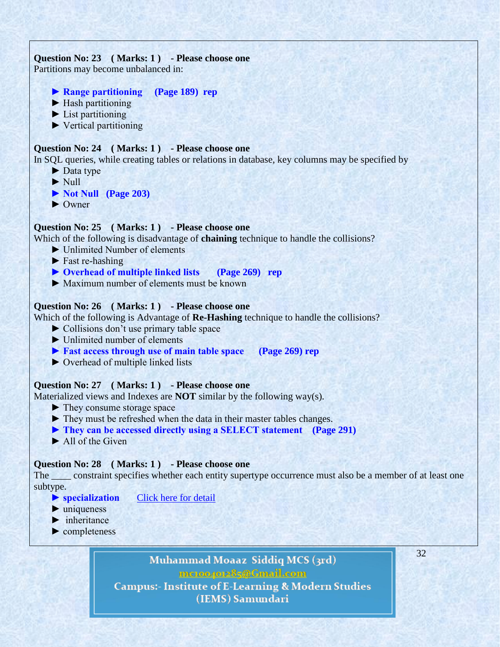# **Question No: 23 ( Marks: 1 ) - Please choose one**

Partitions may become unbalanced in:

- **► Range partitioning (Page 189) rep**
- ► Hash partitioning
- $\blacktriangleright$  List partitioning
- ► Vertical partitioning

# **Question No: 24 ( Marks: 1 ) - Please choose one**

In SQL queries, while creating tables or relations in database, key columns may be specified by

- ► Data type
- ► Null
- **► Not Null (Page 203)**
- ► Owner

# **Question No: 25 ( Marks: 1 ) - Please choose one**

Which of the following is disadvantage of **chaining** technique to handle the collisions?

- ► Unlimited Number of elements
- $\blacktriangleright$  Fast re-hashing
- **► Overhead of multiple linked lists (Page 269) rep**
- ► Maximum number of elements must be known

# **Question No: 26 ( Marks: 1 ) - Please choose one**

Which of the following is Advantage of **Re-Hashing** technique to handle the collisions?

- ► Collisions don't use primary table space
- ► Unlimited number of elements
- **► Fast access through use of main table space (Page 269) rep**
- ► Overhead of multiple linked lists

# **Question No: 27 ( Marks: 1 ) - Please choose one**

Materialized views and Indexes are **NOT** similar by the following way(s).

- ► They consume storage space
- ► They must be refreshed when the data in their master tables changes.
- **► They can be accessed directly using a SELECT statement (Page 291)**
- ► All of the Given

# **Question No: 28 ( Marks: 1 ) - Please choose one**

The second specifies whether each entity supertype occurrence must also be a member of at least one subtype.

- ▶ specialization **[Click here for detail](http://cws.cengage.co.uk/rcc_databases/students/mcqs/Chapter6.htm)**
- $\blacktriangleright$  uniqueness
- $\blacktriangleright$  inheritance

► completeness

# Muhammad Moaaz Siddiq MCS (3rd) mctoo4ot285@Gmail.com **Campus:- Institute of E-Learning & Modern Studies**

# (IEMS) Samundari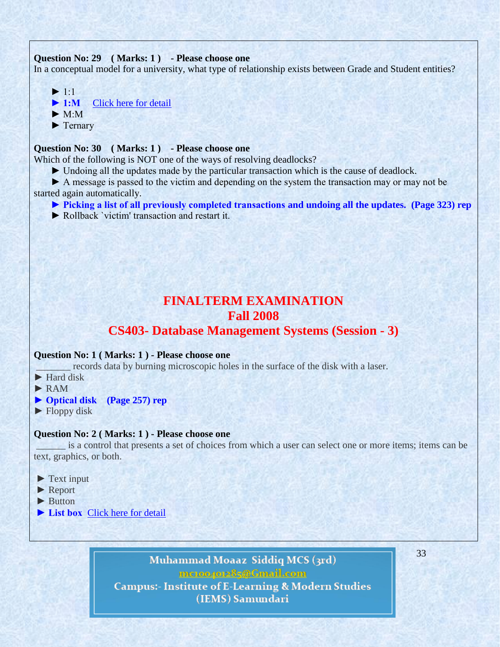#### **Question No: 29 ( Marks: 1 ) - Please choose one**

In a conceptual model for a university, what type of relationship exists between Grade and Student entities?

 $\blacktriangleright$  1.1 ▶ 1:M [Click here for detail](http://www.myskillportal.com/question/conceptual-model-university)  $\blacktriangleright$  M $\cdot$ M ► Ternary

# **Question No: 30 ( Marks: 1 ) - Please choose one**

Which of the following is NOT one of the ways of resolving deadlocks?

► Undoing all the updates made by the particular transaction which is the cause of deadlock.

 ► A message is passed to the victim and depending on the system the transaction may or may not be started again automatically.

- **► Picking a list of all previously completed transactions and undoing all the updates. (Page 323) rep**
- ► Rollback `victim' transaction and restart it.

# **FINALTERM EXAMINATION Fall 2008**

# **CS403- Database Management Systems (Session - 3)**

# **Question No: 1 ( Marks: 1 ) - Please choose one**

records data by burning microscopic holes in the surface of the disk with a laser.

- ► Hard disk
- ► RAM
- **► Optical disk (Page 257) rep**
- $\blacktriangleright$  Floppy disk

#### **Question No: 2 ( Marks: 1 ) - Please choose one**

\_\_\_\_\_\_ is a control that presents a set of choices from which a user can select one or more items; items can be text, graphics, or both.

- ► Text input
- ► Report
- ► Button
- ► List box [Click here for detail](http://java.sun.com/products/jlf/ed2/book/HIG.Controls.html)

Muhammad Moaaz Siddiq MCS (3rd) mctoo4ot285@Gmail.com **Campus:- Institute of E-Learning & Modern Studies** (IEMS) Samundari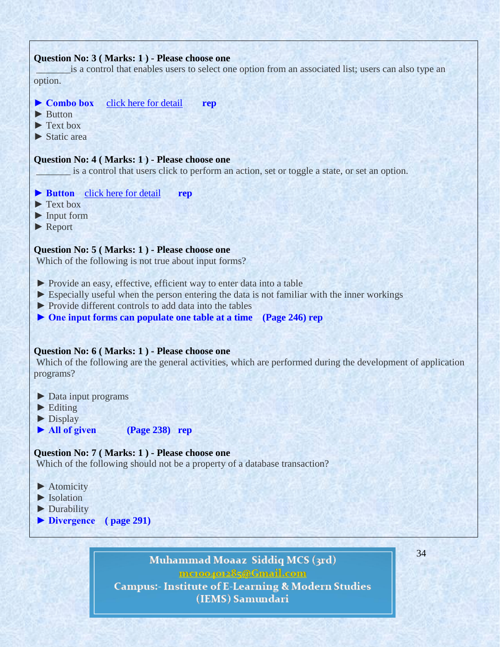### **Question No: 3 ( Marks: 1 ) - Please choose one**

is a control that enables users to select one option from an associated list; users can also type an option.

- **► Combo box** [click here for detail](http://java.sun.com/products/jlf/ed2/book/HIG.Controls.html) **rep**
- ► Button
- $\blacktriangleright$  Text box
- ► Static area

### **Question No: 4 ( Marks: 1 ) - Please choose one**

is a control that users click to perform an action, set or toggle a state, or set an option.

- **► Button** [click here for detail](http://java.sun.com/products/jlf/ed2/book/HIG.Controls.html) **rep**
- $\blacktriangleright$  Text box
- ► Input form
- ► Report

#### **Question No: 5 ( Marks: 1 ) - Please choose one**

Which of the following is not true about input forms?

- ► Provide an easy, effective, efficient way to enter data into a table
- $\triangleright$  Especially useful when the person entering the data is not familiar with the inner workings
- ► Provide different controls to add data into the tables
- **► One input forms can populate one table at a time (Page 246) rep**

#### **Question No: 6 ( Marks: 1 ) - Please choose one**

Which of the following are the general activities, which are performed during the development of application programs?

- ► Data input programs
- $\blacktriangleright$  Editing
- ► Display
- **► All of given (Page 238) rep**

#### **Question No: 7 ( Marks: 1 ) - Please choose one**

Which of the following should not be a property of a database transaction?

- ▶ Atomicity
- ► Isolation
- ► Durability
- **► Divergence ( page 291)**

Muhammad Moaaz Siddiq MCS (3rd) mc.compress@Gmail.com **Campus:- Institute of E-Learning & Modern Studies** (IEMS) Samundari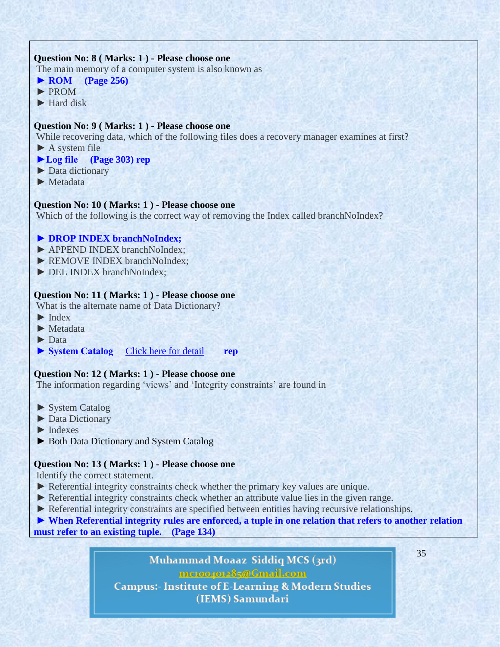# **Question No: 8 ( Marks: 1 ) - Please choose one**

The main memory of a computer system is also known as

**► ROM (Page 256)**

- ► PROM
- ► Hard disk

# **Question No: 9 ( Marks: 1 ) - Please choose one**

While recovering data, which of the following files does a recovery manager examines at first?

 $\blacktriangleright$  A system file

# **►Log file (Page 303) rep**

- ► Data dictionary
- ► Metadata

### **Question No: 10 ( Marks: 1 ) - Please choose one**

Which of the following is the correct way of removing the Index called branchNoIndex?

### ▶ **DROP INDEX** branchNoIndex;

- ► APPEND INDEX branchNoIndex;
- ► REMOVE INDEX branchNoIndex;
- ► DEL INDEX branchNoIndex;

#### **Question No: 11 ( Marks: 1 ) - Please choose one**

What is the alternate name of Data Dictionary?

- $\blacktriangleright$  Index
- ► Metadata
- ► Data
- ► System Catalog [Click here for detail](http://www.blurtit.com/q6281869.html) rep

#### **Question No: 12 ( Marks: 1 ) - Please choose one**

The information regarding 'views' and 'Integrity constraints' are found in

- ► System Catalog
- ► Data Dictionary
- $\blacktriangleright$  Indexes
- ► Both Data Dictionary and System Catalog

#### **Question No: 13 ( Marks: 1 ) - Please choose one**

Identify the correct statement.

- ► Referential integrity constraints check whether the primary key values are unique.
- ► Referential integrity constraints check whether an attribute value lies in the given range.
- ► Referential integrity constraints are specified between entities having recursive relationships.

**► When Referential integrity rules are enforced, a tuple in one relation that refers to another relation must refer to an existing tuple. (Page 134)**

> Muhammad Moaaz Siddiq MCS (3rd) mctoo4ot285@Gmail.com **Campus:- Institute of E-Learning & Modern Studies** (IEMS) Samundari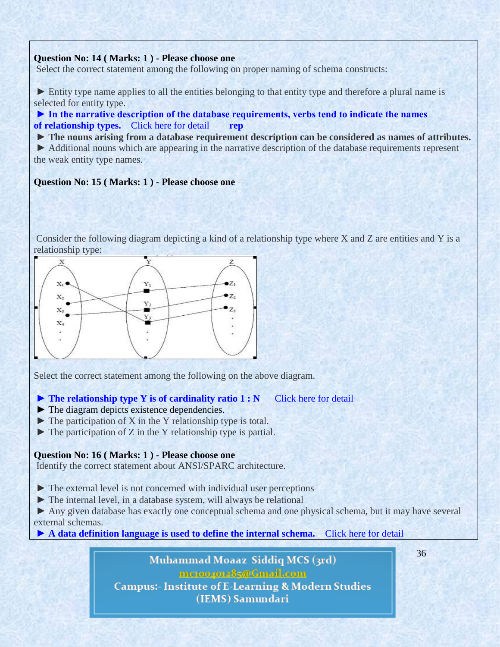# **Question No: 14 ( Marks: 1 ) - Please choose one**

Select the correct statement among the following on proper naming of schema constructs:

► Entity type name applies to all the entities belonging to that entity type and therefore a plural name is selected for entity type.

**► In the narrative description of the database requirements, verbs tend to indicate the names of relationship types.** [Click here for detail](http://www.docstoc.com/docs/79498818/rd-unit-2-_-3_doc-1_-%5b90%5d) **rep**

**► The nouns arising from a database requirement description can be considered as names of attributes.**

► Additional nouns which are appearing in the narrative description of the database requirements represent the weak entity type names.

#### **Question No: 15 ( Marks: 1 ) - Please choose one**

Consider the following diagram depicting a kind of a relationship type where X and Z are entities and Y is a relationship type:



Select the correct statement among the following on the above diagram.

### **► The relationship type Y is of cardinality ratio 1 : N** Click here for [detail](http://www.docstoc.com/docs/79498833/rd-unit-4-%5b318%5d)

- $\blacktriangleright$  The diagram depicts existence dependencies.
- $\blacktriangleright$  The participation of X in the Y relationship type is total.
- $\triangleright$  The participation of Z in the Y relationship type is partial.

#### **Question No: 16 ( Marks: 1 ) - Please choose one**

Identify the correct statement about ANSI/SPARC architecture.

- ► The external level is not concerned with individual user perceptions
- ► The internal level, in a database system, will always be relational

► Any given database has exactly one conceptual schema and one physical schema, but it may have several external schemas.

**► A data definition language is used to define the internal schema.** [Click here for detail](http://ironbark.bendigo.latrobe.edu.au/subjects/DB/2011s2/lectures/lecture02.html)

Muhammad Moaaz Siddiq MCS (3rd) mcroopor25@Gmail.com **Campus:- Institute of E-Learning & Modern Studies** (IEMS) Samundari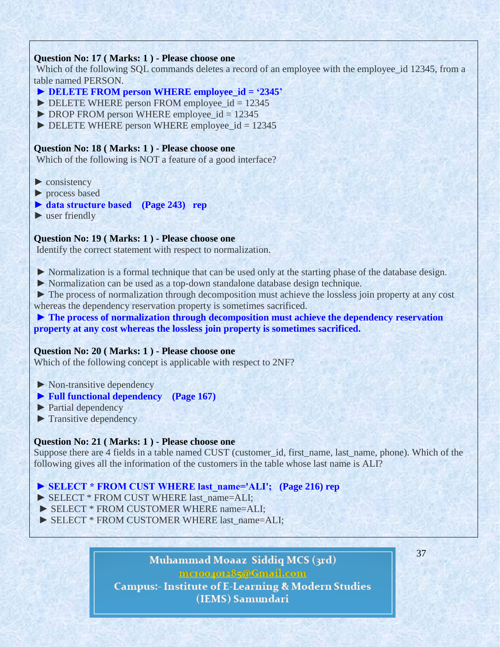# **Question No: 17 ( Marks: 1 ) - Please choose one**

Which of the following SQL commands deletes a record of an employee with the employee id 12345, from a table named PERSON.

- ► DELETE FROM person WHERE employee id = '2345'
- $\triangleright$  DELETE WHERE person FROM employee\_id = 12345
- $\triangleright$  DROP FROM person WHERE employee id = 12345
- $\triangleright$  DELETE WHERE person WHERE employee\_id = 12345

# **Question No: 18 ( Marks: 1 ) - Please choose one**

Which of the following is NOT a feature of a good interface?

- $\blacktriangleright$  consistency
- ► process based
- **► data structure based (Page 243) rep**
- $\blacktriangleright$  user friendly

# **Question No: 19 ( Marks: 1 ) - Please choose one**

Identify the correct statement with respect to normalization.

- ► Normalization is a formal technique that can be used only at the starting phase of the database design.
- ► Normalization can be used as a top-down standalone database design technique.
- ► The process of normalization through decomposition must achieve the lossless join property at any cost whereas the dependency reservation property is sometimes sacrificed.

**► The process of normalization through decomposition must achieve the dependency reservation property at any cost whereas the lossless join property is sometimes sacrificed.**

# **Question No: 20 ( Marks: 1 ) - Please choose one**

Which of the following concept is applicable with respect to 2NF?

- ► Non-transitive dependency
- **► Full functional dependency (Page 167)**
- ► Partial dependency
- ► Transitive dependency

# **Question No: 21 ( Marks: 1 ) - Please choose one**

Suppose there are 4 fields in a table named CUST (customer\_id, first\_name, last\_name, phone). Which of the following gives all the information of the customers in the table whose last name is ALI?

# ► SELECT \* FROM CUST WHERE last\_name='ALI'; (Page 216) rep

- ▶ SELECT \* FROM CUST WHERE last\_name=ALI;
- ► SELECT \* FROM CUSTOMER WHERE name=ALI;
- ▶ SELECT \* FROM CUSTOMER WHERE last\_name=ALI;

# Muhammad Moaaz Siddiq MCS (3rd) mc.compress@Gmail.com **Campus:- Institute of E-Learning & Modern Studies** (IEMS) Samundari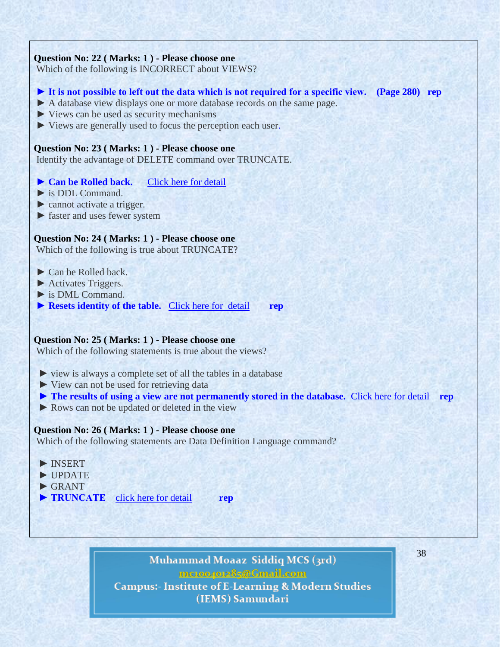#### **Question No: 22 ( Marks: 1 ) - Please choose one**

Which of the following is INCORRECT about VIEWS?

- **► It is not possible to left out the data which is not required for a specific view. (Page 280) rep**
- ► A database view displays one or more database records on the same page.
- ► Views can be used as security mechanisms
- ► Views are generally used to focus the perception each user.

#### **Question No: 23 ( Marks: 1 ) - Please choose one**

Identify the advantage of DELETE command over TRUNCATE.

### **► Can be Rolled back.** [Click here for detail](http://www.orafaq.com/faq/difference_between_truncate_delete_and_drop_commands)

- ► is DDL Command.
- ► cannot activate a trigger.
- ► faster and uses fewer system

### **Question No: 24 ( Marks: 1 ) - Please choose one**

Which of the following is true about TRUNCATE?

- ► Can be Rolled back.
- ► Activates Triggers.
- $\triangleright$  is DML Command.
- ▶ **Resets identity of the table.** [Click here for detail](http://blog.sqlauthority.com/2007/04/17/sql-server-interview-questions-part-3/) rep

# **Question No: 25 ( Marks: 1 ) - Please choose one**

Which of the following statements is true about the views?

- ► view is always a complete set of all the tables in a database
- ► View can not be used for retrieving data
- **► The results of using a view are not permanently stored in the database.** [Click here for detail](http://code4asp.net/main/?p=9) **rep**
- ► Rows can not be updated or deleted in the view

#### **Question No: 26 ( Marks: 1 ) - Please choose one**

Which of the following statements are Data Definition Language command?

- ► INSERT
- ► UPDATE
- $\blacktriangleright$  GRANT
- ▶ **TRUNCATE [click here for detail](http://w3.miraclesoft.com/msws/msoft/faqs/pdfs/PL_SQL.pdf) rep**

Muhammad Moaaz Siddiq MCS (3rd) mc.compress@Gmail.com **Campus:- Institute of E-Learning & Modern Studies** (IEMS) Samundari